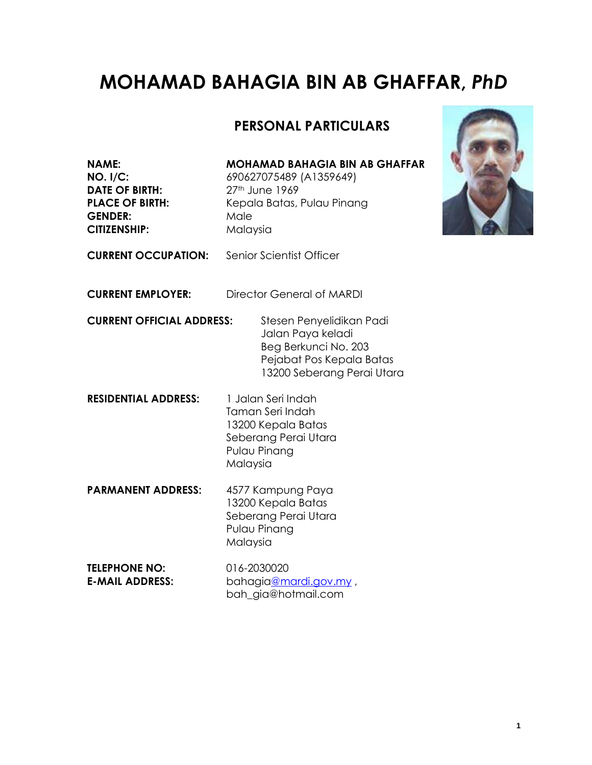# **MOHAMAD BAHAGIA BIN AB GHAFFAR,** *PhD*

### **PERSONAL PARTICULARS**

**DATE OF BIRTH:** 27<sup>th</sup> June 1969 GENDER: Male **CITIZENSHIP:** Malaysia

#### **NAME: MOHAMAD BAHAGIA BIN AB GHAFFAR**

**NO. I/C:** 690627075489 (A1359649) **PLACE OF BIRTH:** Kepala Batas, Pulau Pinang



**CURRENT OCCUPATION:** Senior Scientist Officer

**CURRENT EMPLOYER:** Director General of MARDI

**CURRENT OFFICIAL ADDRESS:** Stesen Penyelidikan Padi Jalan Paya keladi Beg Berkunci No. 203 Pejabat Pos Kepala Batas 13200 Seberang Perai Utara

**RESIDENTIAL ADDRESS:** 1 Jalan Seri Indah Taman Seri Indah 13200 Kepala Batas Seberang Perai Utara Pulau Pinang Malaysia

**PARMANENT ADDRESS:** 4577 Kampung Paya 13200 Kepala Batas Seberang Perai Utara Pulau Pinang Malaysia

**TELEPHONE NO:** 016-2030020 **E-MAIL ADDRESS:** bahagi[a@mardi.gov.my](mailto:@mardi.gov.my) , bah\_gia@hotmail.com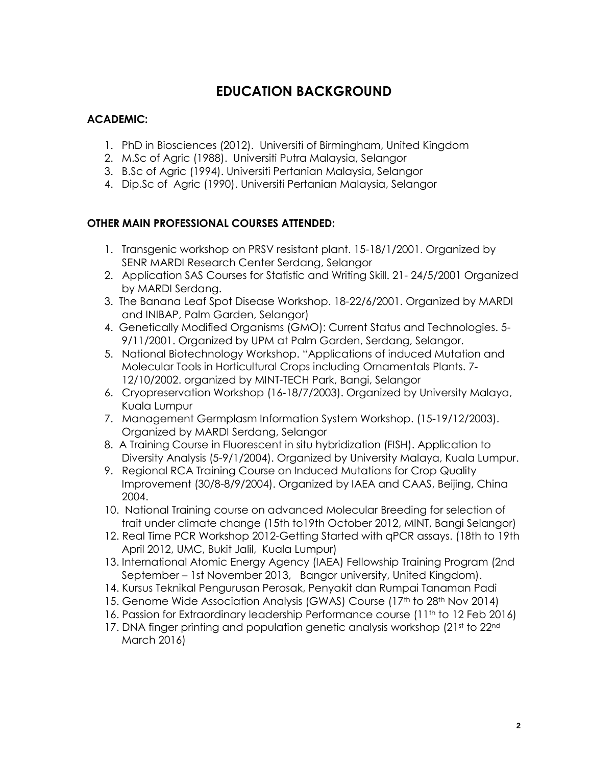### **EDUCATION BACKGROUND**

#### **ACADEMIC:**

- 1. PhD in Biosciences (2012). Universiti of Birmingham, United Kingdom
- 2. M.Sc of Agric (1988). Universiti Putra Malaysia, Selangor
- 3. B.Sc of Agric (1994). Universiti Pertanian Malaysia, Selangor
- 4. Dip.Sc of Agric (1990). Universiti Pertanian Malaysia, Selangor

#### **OTHER MAIN PROFESSIONAL COURSES ATTENDED:**

- 1. Transgenic workshop on PRSV resistant plant. 15-18/1/2001. Organized by SENR MARDI Research Center Serdang, Selangor
- 2. Application SAS Courses for Statistic and Writing Skill. 21- 24/5/2001 Organized by MARDI Serdang.
- 3. The Banana Leaf Spot Disease Workshop. 18-22/6/2001. Organized by MARDI and INIBAP, Palm Garden, Selangor)
- 4. Genetically Modified Organisms (GMO): Current Status and Technologies. 5- 9/11/2001. Organized by UPM at Palm Garden, Serdang, Selangor.
- 5. National Biotechnology Workshop. "Applications of induced Mutation and Molecular Tools in Horticultural Crops including Ornamentals Plants. 7- 12/10/2002. organized by MINT-TECH Park, Bangi, Selangor
- 6. Cryopreservation Workshop (16-18/7/2003). Organized by University Malaya, Kuala Lumpur
- 7. Management Germplasm Information System Workshop. (15-19/12/2003). Organized by MARDI Serdang, Selangor
- 8. A Training Course in Fluorescent in situ hybridization (FISH). Application to Diversity Analysis (5-9/1/2004). Organized by University Malaya, Kuala Lumpur.
- 9. Regional RCA Training Course on Induced Mutations for Crop Quality Improvement (30/8-8/9/2004). Organized by IAEA and CAAS, Beijing, China 2004.
- 10. National Training course on advanced Molecular Breeding for selection of trait under climate change (15th to19th October 2012, MINT, Bangi Selangor)
- 12. Real Time PCR Workshop 2012-Getting Started with qPCR assays. (18th to 19th April 2012, UMC, Bukit Jalil, Kuala Lumpur)
- 13. International Atomic Energy Agency (IAEA) Fellowship Training Program (2nd September – 1st November 2013, Bangor university, United Kingdom).
- 14. Kursus Teknikal Pengurusan Perosak, Penyakit dan Rumpai Tanaman Padi
- 15. Genome Wide Association Analysis (GWAS) Course (17<sup>th</sup> to 28<sup>th</sup> Nov 2014)
- 16. Passion for Extraordinary leadership Performance course (11<sup>th</sup> to 12 Feb 2016)
- 17. DNA finger printing and population genetic analysis workshop (21st to 22nd) March 2016)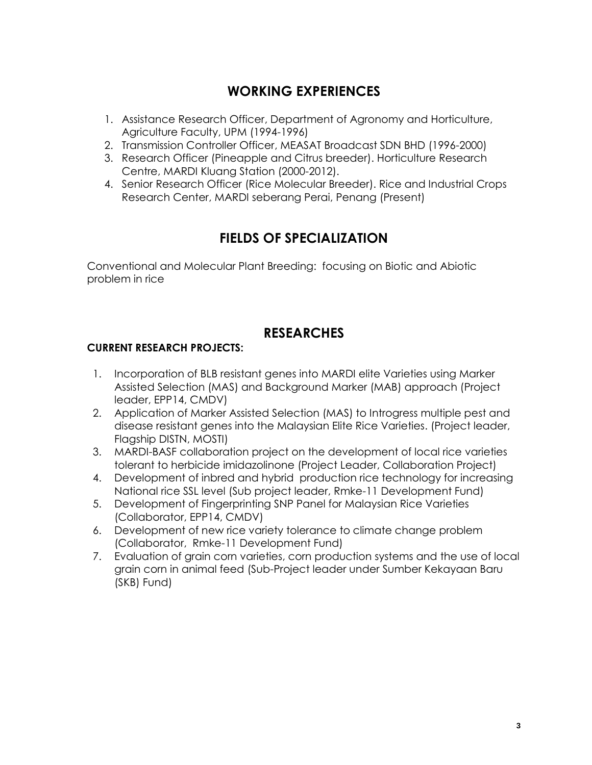### **WORKING EXPERIENCES**

- 1. Assistance Research Officer, Department of Agronomy and Horticulture, Agriculture Faculty, UPM (1994-1996)
- 2. Transmission Controller Officer, MEASAT Broadcast SDN BHD (1996-2000)
- 3. Research Officer (Pineapple and Citrus breeder). Horticulture Research Centre, MARDI Kluang Station (2000-2012).
- 4. Senior Research Officer (Rice Molecular Breeder). Rice and Industrial Crops Research Center, MARDI seberang Perai, Penang (Present)

## **FIELDS OF SPECIALIZATION**

Conventional and Molecular Plant Breeding: focusing on Biotic and Abiotic problem in rice

### **RESEARCHES**

#### **CURRENT RESEARCH PROJECTS:**

- 1. Incorporation of BLB resistant genes into MARDI elite Varieties using Marker Assisted Selection (MAS) and Background Marker (MAB) approach (Project leader, EPP14, CMDV)
- 2. Application of Marker Assisted Selection (MAS) to Introgress multiple pest and disease resistant genes into the Malaysian Elite Rice Varieties. (Project leader, Flagship DISTN, MOSTI)
- 3. MARDI-BASF collaboration project on the development of local rice varieties tolerant to herbicide imidazolinone (Project Leader, Collaboration Project)
- 4. Development of inbred and hybrid production rice technology for increasing National rice SSL level (Sub project leader, Rmke-11 Development Fund)
- 5. Development of Fingerprinting SNP Panel for Malaysian Rice Varieties (Collaborator, EPP14, CMDV)
- 6. Development of new rice variety tolerance to climate change problem (Collaborator, Rmke-11 Development Fund)
- 7. Evaluation of grain corn varieties, corn production systems and the use of local grain corn in animal feed (Sub-Project leader under Sumber Kekayaan Baru (SKB) Fund)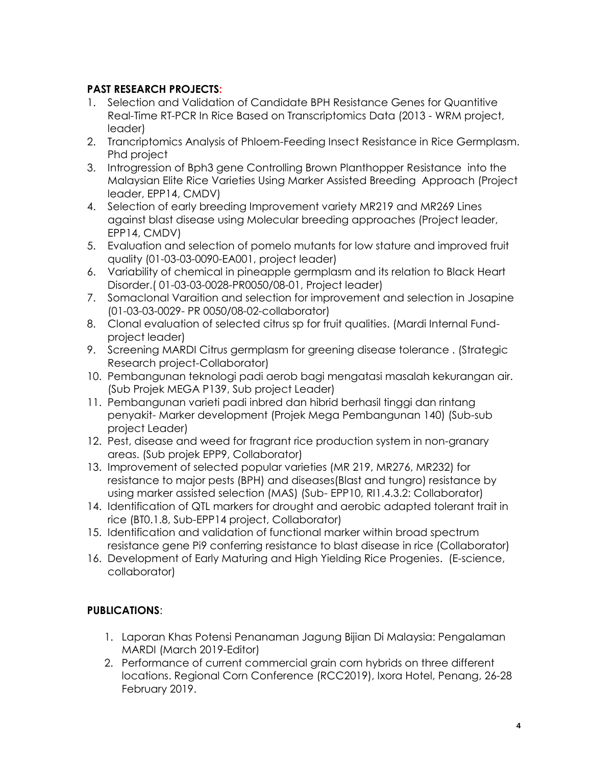#### **PAST RESEARCH PROJECTS:**

- 1. Selection and Validation of Candidate BPH Resistance Genes for Quantitive Real-Time RT-PCR In Rice Based on Transcriptomics Data (2013 - WRM project, leader)
- 2. Trancriptomics Analysis of Phloem-Feeding Insect Resistance in Rice Germplasm. Phd project
- 3. Introgression of Bph3 gene Controlling Brown Planthopper Resistance into the Malaysian Elite Rice Varieties Using Marker Assisted Breeding Approach (Project leader, EPP14, CMDV)
- 4. Selection of early breeding Improvement variety MR219 and MR269 Lines against blast disease using Molecular breeding approaches (Project leader, EPP14, CMDV)
- 5. Evaluation and selection of pomelo mutants for low stature and improved fruit quality (01-03-03-0090-EA001, project leader)
- 6. Variability of chemical in pineapple germplasm and its relation to Black Heart Disorder.( 01-03-03-0028-PR0050/08-01, Project leader)
- 7. Somaclonal Varaition and selection for improvement and selection in Josapine (01-03-03-0029- PR 0050/08-02-collaborator)
- 8. Clonal evaluation of selected citrus sp for fruit qualities. (Mardi Internal Fundproject leader)
- 9. Screening MARDI Citrus germplasm for greening disease tolerance . (Strategic Research project-Collaborator)
- 10. Pembangunan teknologi padi aerob bagi mengatasi masalah kekurangan air. (Sub Projek MEGA P139, Sub project Leader)
- 11. Pembangunan varieti padi inbred dan hibrid berhasil tinggi dan rintang penyakit- Marker development (Projek Mega Pembangunan 140) (Sub-sub project Leader)
- 12. Pest, disease and weed for fragrant rice production system in non-granary areas. (Sub projek EPP9, Collaborator)
- 13. Improvement of selected popular varieties (MR 219, MR276, MR232) for resistance to major pests (BPH) and diseases(Blast and tungro) resistance by using marker assisted selection (MAS) (Sub- EPP10, RI1.4.3.2: Collaborator)
- 14. Identification of QTL markers for drought and aerobic adapted tolerant trait in rice (BT0.1.8, Sub-EPP14 project, Collaborator)
- 15. Identification and validation of functional marker within broad spectrum resistance gene Pi9 conferring resistance to blast disease in rice (Collaborator)
- 16. Development of Early Maturing and High Yielding Rice Progenies. (E-science, collaborator)

### **PUBLICATIONS**:

- 1. Laporan Khas Potensi Penanaman Jagung Bijian Di Malaysia: Pengalaman MARDI (March 2019-Editor)
- 2. Performance of current commercial grain corn hybrids on three different locations. Regional Corn Conference (RCC2019), Ixora Hotel, Penang, 26-28 February 2019.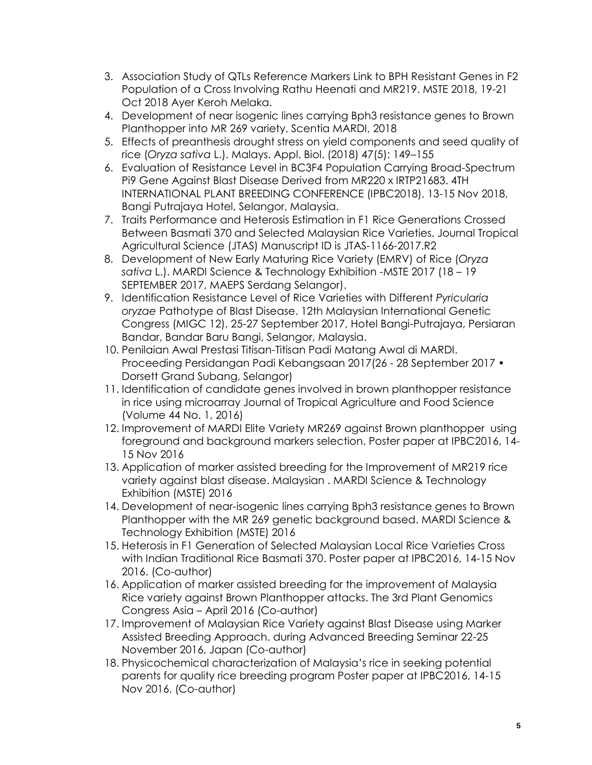- 3. Association Study of QTLs Reference Markers Link to BPH Resistant Genes in F2 Population of a Cross Involving Rathu Heenati and MR219. MSTE 2018, 19-21 Oct 2018 Ayer Keroh Melaka.
- 4. Development of near isogenic lines carrying Bph3 resistance genes to Brown Planthopper into MR 269 variety. Scentia MARDI, 2018
- 5. Effects of preanthesis drought stress on yield components and seed quality of rice (*Oryza sativa* L.). Malays. Appl. Biol. (2018) 47(5): 149–155
- 6. Evaluation of Resistance Level in BC3F4 Population Carrying Broad-Spectrum Pi9 Gene Against Blast Disease Derived from MR220 x IRTP21683. 4TH INTERNATIONAL PLANT BREEDING CONFERENCE (IPBC2018), 13-15 Nov 2018, Bangi Putrajaya Hotel, Selangor, Malaysia.
- 7. Traits Performance and Heterosis Estimation in F1 Rice Generations Crossed Between Basmati 370 and Selected Malaysian Rice Varieties. Journal Tropical Agricultural Science (JTAS) Manuscript ID is JTAS-1166-2017.R2
- 8. Development of New Early Maturing Rice Variety (EMRV) of Rice (*Oryza sativa* L.). MARDI Science & Technology Exhibition -MSTE 2017 (18 – 19 SEPTEMBER 2017, MAEPS Serdang Selangor).
- 9. Identification Resistance Level of Rice Varieties with Different *Pyricularia oryzae* Pathotype of Blast Disease. 12th Malaysian International Genetic Congress (MIGC 12), 25-27 September 2017, Hotel Bangi-Putrajaya, Persiaran Bandar, Bandar Baru Bangi, Selangor, Malaysia.
- 10. Penilaian Awal Prestasi Titisan-Titisan Padi Matang Awal di MARDI. Proceeding Persidangan Padi Kebangsaan 2017(26 - 28 September 2017 • Dorsett Grand Subang, Selangor)
- 11. Identification of candidate genes involved in brown planthopper resistance in rice using microarray Journal of Tropical Agriculture and Food Science (Volume 44 No. 1, 2016)
- 12. Improvement of MARDI Elite Variety MR269 against Brown planthopper using foreground and background markers selection. Poster paper at IPBC2016, 14- 15 Nov 2016
- 13. Application of marker assisted breeding for the Improvement of MR219 rice variety against blast disease. Malaysian . MARDI Science & Technology Exhibition (MSTE) 2016
- 14. Development of near-isogenic lines carrying Bph3 resistance genes to Brown Planthopper with the MR 269 genetic background based. MARDI Science & Technology Exhibition (MSTE) 2016
- 15. Heterosis in F1 Generation of Selected Malaysian Local Rice Varieties Cross with Indian Traditional Rice Basmati 370. Poster paper at IPBC2016, 14-15 Nov 2016. (Co-author)
- 16. Application of marker assisted breeding for the improvement of Malaysia Rice variety against Brown Planthopper attacks. The 3rd Plant Genomics Congress Asia – April 2016 (Co-author)
- 17. Improvement of Malaysian Rice Variety against Blast Disease using Marker Assisted Breeding Approach. during Advanced Breeding Seminar 22-25 November 2016, Japan (Co-author)
- 18. Physicochemical characterization of Malaysia's rice in seeking potential parents for quality rice breeding program Poster paper at IPBC2016, 14-15 Nov 2016. (Co-author)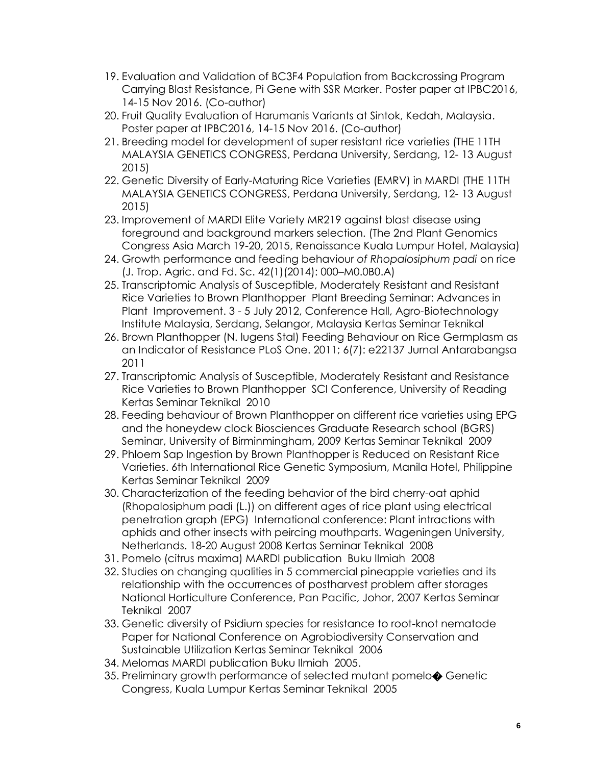- 19. Evaluation and Validation of BC3F4 Population from Backcrossing Program Carrying Blast Resistance, Pi Gene with SSR Marker. Poster paper at IPBC2016, 14-15 Nov 2016. (Co-author)
- 20. Fruit Quality Evaluation of Harumanis Variants at Sintok, Kedah, Malaysia. Poster paper at IPBC2016, 14-15 Nov 2016. (Co-author)
- 21. Breeding model for development of super resistant rice varieties (THE 11TH MALAYSIA GENETICS CONGRESS, Perdana University, Serdang, 12- 13 August 2015)
- 22. Genetic Diversity of Early-Maturing Rice Varieties (EMRV) in MARDI (THE 11TH MALAYSIA GENETICS CONGRESS, Perdana University, Serdang, 12- 13 August 2015)
- 23. Improvement of MARDI Elite Variety MR219 against blast disease using foreground and background markers selection. (The 2nd Plant Genomics Congress Asia March 19-20, 2015, Renaissance Kuala Lumpur Hotel, Malaysia)
- 24. Growth performance and feeding behaviour *of Rhopalosiphum padi* on rice (J. Trop. Agric. and Fd. Sc. 42(1)(2014): 000–M0.0B0.A)
- 25. Transcriptomic Analysis of Susceptible, Moderately Resistant and Resistant Rice Varieties to Brown Planthopper Plant Breeding Seminar: Advances in Plant Improvement. 3 - 5 July 2012, Conference Hall, Agro-Biotechnology Institute Malaysia, Serdang, Selangor, Malaysia Kertas Seminar Teknikal
- 26. Brown Planthopper (N. lugens Stal) Feeding Behaviour on Rice Germplasm as an Indicator of Resistance PLoS One. 2011; 6(7): e22137 Jurnal Antarabangsa 2011
- 27. Transcriptomic Analysis of Susceptible, Moderately Resistant and Resistance Rice Varieties to Brown Planthopper SCI Conference, University of Reading Kertas Seminar Teknikal 2010
- 28. Feeding behaviour of Brown Planthopper on different rice varieties using EPG and the honeydew clock Biosciences Graduate Research school (BGRS) Seminar, University of Birminmingham, 2009 Kertas Seminar Teknikal 2009
- 29. Phloem Sap Ingestion by Brown Planthopper is Reduced on Resistant Rice Varieties. 6th International Rice Genetic Symposium, Manila Hotel, Philippine Kertas Seminar Teknikal 2009
- 30. Characterization of the feeding behavior of the bird cherry-oat aphid (Rhopalosiphum padi (L.)) on different ages of rice plant using electrical penetration graph (EPG) International conference: Plant intractions with aphids and other insects with peircing mouthparts. Wageningen University, Netherlands. 18-20 August 2008 Kertas Seminar Teknikal 2008
- 31. Pomelo (citrus maxima) MARDI publication Buku Ilmiah 2008
- 32. Studies on changing qualities in 5 commercial pineapple varieties and its relationship with the occurrences of postharvest problem after storages National Horticulture Conference, Pan Pacific, Johor, 2007 Kertas Seminar Teknikal 2007
- 33. Genetic diversity of Psidium species for resistance to root-knot nematode Paper for National Conference on Agrobiodiversity Conservation and Sustainable Utilization Kertas Seminar Teknikal 2006
- 34. Melomas MARDI publication Buku Ilmiah 2005.
- 35. Preliminary growth performance of selected mutant pomelo $\bullet$  Genetic Congress, Kuala Lumpur Kertas Seminar Teknikal 2005